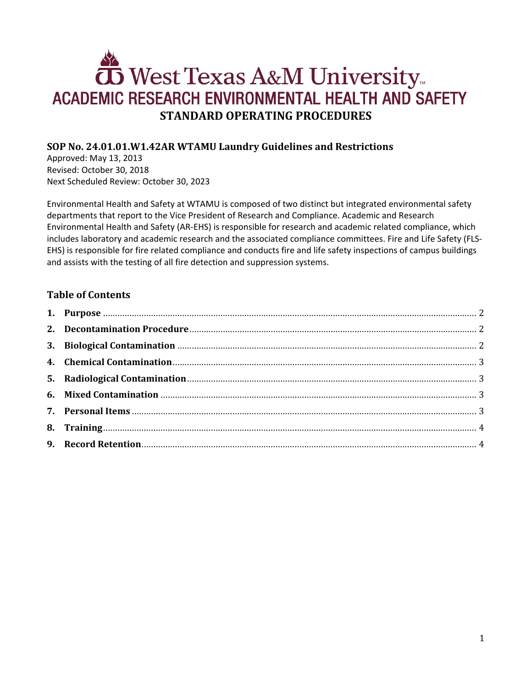# West Texas A&M University ACADEMIC RESEARCH ENVIRONMENTAL HEALTH AND SAFETY **STANDARD OPERATING PROCEDURES**

# **SOP No. 24.01.01.W1.42AR WTAMU Laundry Guidelines and Restrictions**

Approved: May 13, 2013 Revised: October 30, 2018 Next Scheduled Review: October 30, 2023

Environmental Health and Safety at WTAMU is composed of two distinct but integrated environmental safety departments that report to the Vice President of Research and Compliance. Academic and Research Environmental Health and Safety (AR-EHS) is responsible for research and academic related compliance, which includes laboratory and academic research and the associated compliance committees. Fire and Life Safety (FLS-EHS) is responsible for fire related compliance and conducts fire and life safety inspections of campus buildings and assists with the testing of all fire detection and suppression systems.

# **Table of Contents**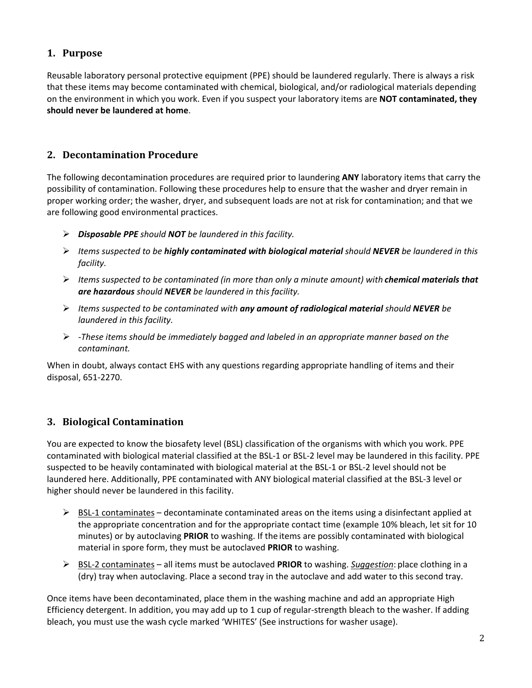# <span id="page-1-0"></span>**1. Purpose**

Reusable laboratory personal protective equipment (PPE) should be laundered regularly. There is always a risk that these items may become contaminated with chemical, biological, and/or radiological materials depending on the environment in which you work. Even if you suspect your laboratory items are **NOT contaminated, they should never be laundered at home**.

## <span id="page-1-1"></span>**2. Decontamination Procedure**

The following decontamination procedures are required prior to laundering **ANY** laboratory items that carry the possibility of contamination. Following these procedures help to ensure that the washer and dryer remain in proper working order; the washer, dryer, and subsequent loads are not at risk for contamination; and that we are following good environmental practices.

- *Disposable PPE should NOT be laundered in this facility.*
- *Items suspected to be highly contaminated with biological material should NEVER be laundered in this facility.*
- *Items suspected to be contaminated (in more than only a minute amount) with chemical materials that are hazardous should NEVER be laundered in this facility.*
- *Items suspected to be contaminated with any amount of radiological material should NEVER be laundered in this facility.*
- *-These items should be immediately bagged and labeled in an appropriate manner based on the contaminant.*

When in doubt, always contact EHS with any questions regarding appropriate handling of items and their disposal, 651-2270.

## <span id="page-1-2"></span>**3. Biological Contamination**

You are expected to know the biosafety level (BSL) classification of the organisms with which you work. PPE contaminated with biological material classified at the BSL-1 or BSL-2 level may be laundered in this facility. PPE suspected to be heavily contaminated with biological material at the BSL-1 or BSL-2 level should not be laundered here. Additionally, PPE contaminated with ANY biological material classified at the BSL-3 level or higher should never be laundered in this facility.

- $\triangleright$  BSL-1 contaminates decontaminate contaminated areas on the items using a disinfectant applied at the appropriate concentration and for the appropriate contact time (example 10% bleach, let sit for 10 minutes) or by autoclaving **PRIOR** to washing. If the items are possibly contaminated with biological material in spore form, they must be autoclaved **PRIOR** to washing.
- BSL-2 contaminates all items must be autoclaved **PRIOR** to washing. *Suggestion*: place clothing in a (dry) tray when autoclaving. Place a second tray in the autoclave and add water to this second tray.

Once items have been decontaminated, place them in the washing machine and add an appropriate High Efficiency detergent. In addition, you may add up to 1 cup of regular-strength bleach to the washer. If adding bleach, you must use the wash cycle marked 'WHITES' (See instructions for washer usage).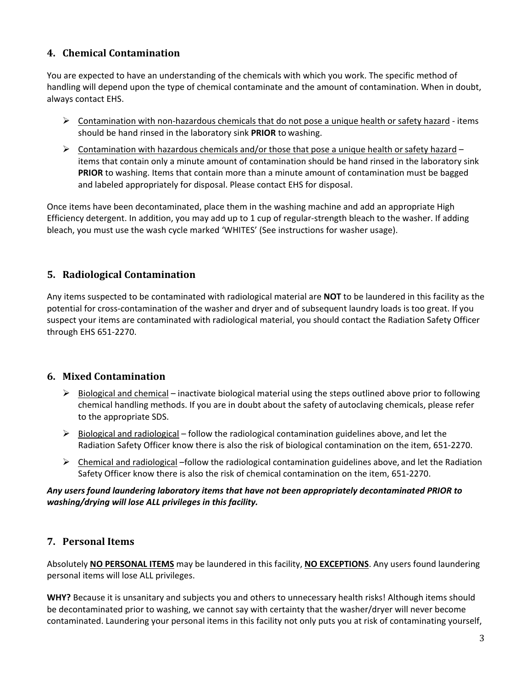# <span id="page-2-0"></span>**4. Chemical Contamination**

You are expected to have an understanding of the chemicals with which you work. The specific method of handling will depend upon the type of chemical contaminate and the amount of contamination. When in doubt, always contact EHS.

- $\triangleright$  Contamination with non-hazardous chemicals that do not pose a unique health or safety hazard items should be hand rinsed in the laboratory sink **PRIOR** to washing.
- $\triangleright$  Contamination with hazardous chemicals and/or those that pose a unique health or safety hazard items that contain only a minute amount of contamination should be hand rinsed in the laboratory sink **PRIOR** to washing. Items that contain more than a minute amount of contamination must be bagged and labeled appropriately for disposal. Please contact EHS for disposal.

Once items have been decontaminated, place them in the washing machine and add an appropriate High Efficiency detergent. In addition, you may add up to 1 cup of regular-strength bleach to the washer. If adding bleach, you must use the wash cycle marked 'WHITES' (See instructions for washer usage).

# <span id="page-2-1"></span>**5. Radiological Contamination**

Any items suspected to be contaminated with radiological material are **NOT** to be laundered in this facility as the potential for cross-contamination of the washer and dryer and of subsequent laundry loads is too great. If you suspect your items are contaminated with radiological material, you should contact the Radiation Safety Officer through EHS 651-2270.

## <span id="page-2-2"></span>**6. Mixed Contamination**

- $\triangleright$  Biological and chemical inactivate biological material using the steps outlined above prior to following chemical handling methods. If you are in doubt about the safety of autoclaving chemicals, please refer to the appropriate SDS.
- $\triangleright$  Biological and radiological follow the radiological contamination guidelines above, and let the Radiation Safety Officer know there is also the risk of biological contamination on the item, 651-2270.
- $\triangleright$  Chemical and radiological –follow the radiological contamination guidelines above, and let the Radiation Safety Officer know there is also the risk of chemical contamination on the item, 651-2270.

#### *Any users found laundering laboratory items that have not been appropriately decontaminated PRIOR to washing/drying will lose ALL privileges in this facility.*

## <span id="page-2-3"></span>**7. Personal Items**

Absolutely **NO PERSONAL ITEMS** may be laundered in this facility, **NO EXCEPTIONS**. Any users found laundering personal items will lose ALL privileges.

**WHY?** Because it is unsanitary and subjects you and others to unnecessary health risks! Although items should be decontaminated prior to washing, we cannot say with certainty that the washer/dryer will never become contaminated. Laundering your personal items in this facility not only puts you at risk of contaminating yourself,